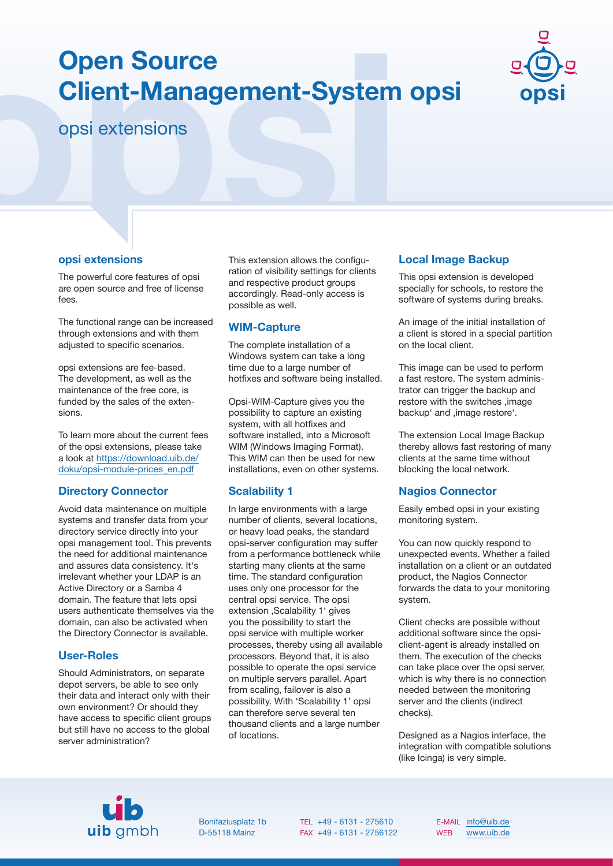# **Open Source Client-Management-System opsi**



opsi extensions

# **opsi extensions**

The powerful core features of opsi are open source and free of license fees.

The functional range can be increased through extensions and with them adjusted to specific scenarios.

opsi extensions are fee-based. The development, as well as the maintenance of the free core, is funded by the sales of the extensions.

To learn more about the current fees of the opsi extensions, please take a look at [https://download.uib.de/](https://download.uib.de/doku/opsi-module-prices_en.pdf) [doku/opsi-module-prices\\_en.pdf](https://download.uib.de/doku/opsi-module-prices_en.pdf)

# **Directory Connector**

Avoid data maintenance on multiple systems and transfer data from your directory service directly into your opsi management tool. This prevents the need for additional maintenance and assures data consistency. It's irrelevant whether your LDAP is an Active Directory or a Samba 4 domain. The feature that lets opsi users authenticate themselves via the domain, can also be activated when the Directory Connector is available.

# **User-Roles**

Should Administrators, on separate depot servers, be able to see only their data and interact only with their own environment? Or should they have access to specific client groups but still have no access to the global server administration?

This extension allows the configuration of visibility settings for clients and respective product groups accordingly. Read-only access is possible as well.

## **WIM-Capture**

The complete installation of a Windows system can take a long time due to a large number of hotfixes and software being installed.

Opsi-WIM-Capture gives you the possibility to capture an existing system, with all hotfixes and software installed, into a Microsoft WIM (Windows Imaging Format). This WIM can then be used for new installations, even on other systems.

# **Scalability 1**

In large environments with a large number of clients, several locations, or heavy load peaks, the standard opsi-server configuration may suffer from a performance bottleneck while starting many clients at the same time. The standard configuration uses only one processor for the central opsi service. The opsi extension , Scalability 1' gives you the possibility to start the opsi service with multiple worker processes, thereby using all available processors. Beyond that, it is also possible to operate the opsi service on multiple servers parallel. Apart from scaling, failover is also a possibility. With 'Scalability 1' opsi can therefore serve several ten thousand clients and a large number of locations.

# **Local Image Backup**

This opsi extension is developed specially for schools, to restore the software of systems during breaks.

An image of the initial installation of a client is stored in a special partition on the local client.

This image can be used to perform a fast restore. The system administrator can trigger the backup and restore with the switches .image backup' and , image restore'.

The extension Local Image Backup thereby allows fast restoring of many clients at the same time without blocking the local network.

# **Nagios Connector**

Easily embed opsi in your existing monitoring system.

You can now quickly respond to unexpected events. Whether a failed installation on a client or an outdated product, the Nagios Connector forwards the data to your monitoring system.

Client checks are possible without additional software since the opsiclient-agent is already installed on them. The execution of the checks can take place over the opsi server, which is why there is no connection needed between the monitoring server and the clients (indirect checks).

Designed as a Nagios interface, the integration with compatible solutions (like Icinga) is very simple.



Bonifaziusplatz 1b D-55118 Mainz

TEL +49 - 6131 - 275610 FAX +49 - 6131 - 2756122

E-MAIL [info@uib.de](mailto:info@uib.de) WEB [www.uib.de](https://uib.de)